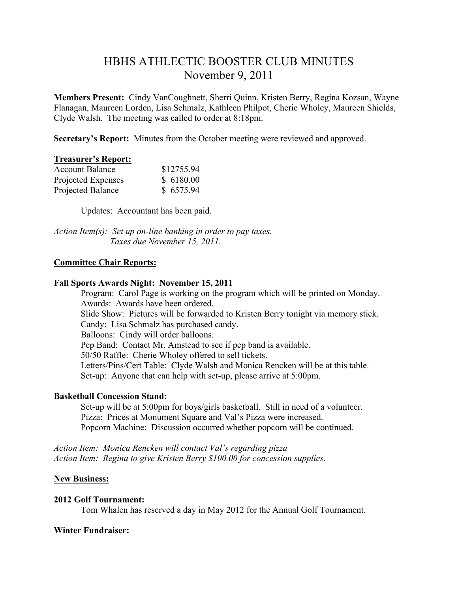# HBHS ATHLECTIC BOOSTER CLUB MINUTES November 9, 2011

**Members Present:** Cindy VanCoughnett, Sherri Quinn, Kristen Berry, Regina Kozsan, Wayne Flanagan, Maureen Lorden, Lisa Schmalz, Kathleen Philpot, Cherie Wholey, Maureen Shields, Clyde Walsh. The meeting was called to order at 8:18pm.

**Secretary's Report:** Minutes from the October meeting were reviewed and approved.

#### **Treasurer's Report:**

| <b>Account Balance</b> | \$12755.94 |
|------------------------|------------|
| Projected Expenses     | \$6180.00  |
| Projected Balance      | \$6575.94  |

Updates:Accountant has been paid.

*Action Item(s): Set up on-line banking in order to pay taxes. Taxes due November 15, 2011.* 

# **Committee Chair Reports:**

## **Fall Sports Awards Night: November 15, 2011**

Program: Carol Page is working on the program which will be printed on Monday. Awards: Awards have been ordered. Slide Show: Pictures will be forwarded to Kristen Berry tonight via memory stick. Candy: Lisa Schmalz has purchased candy. Balloons: Cindy will order balloons. Pep Band: Contact Mr. Amstead to see if pep band is available. 50/50 Raffle: Cherie Wholey offered to sell tickets. Letters/Pins/Cert Table: Clyde Walsh and Monica Rencken will be at this table. Set-up: Anyone that can help with set-up, please arrive at 5:00pm.

#### **Basketball Concession Stand:**

Set-up will be at 5:00pm for boys/girls basketball. Still in need of a volunteer. Pizza: Prices at Monument Square and Val's Pizza were increased. Popcorn Machine: Discussion occurred whether popcorn will be continued.

*Action Item: Monica Rencken will contact Val's regarding pizza Action Item: Regina to give Kristen Berry \$100.00 for concession supplies.*

# **New Business:**

#### **2012 Golf Tournament:**

Tom Whalen has reserved a day in May 2012 for the Annual Golf Tournament.

## **Winter Fundraiser:**